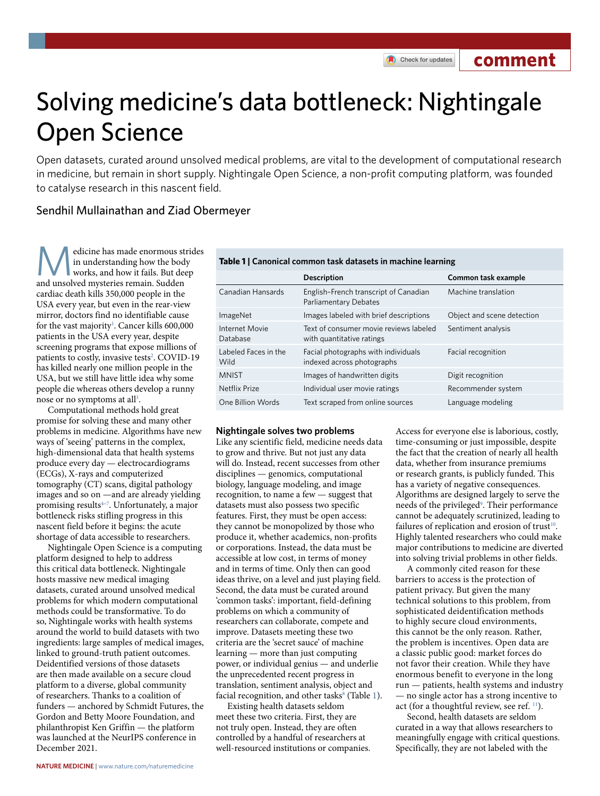**comment**

# Solving medicine's data bottleneck: Nightingale Open Science

Open datasets, curated around unsolved medical problems, are vital to the development of computational research in medicine, but remain in short supply. Nightingale Open Science, a non-proft computing platform, was founded to catalyse research in this nascent field.

# Sendhil Mullainathan and Ziad Obermeyer

edicine has made enormous strides in understanding how the body works, and how it fails. But deep and unsolved mysteries remain. Sudden cardiac death kills 350,000 people in the USA every year, but even in the rear-view mirror, doctors find no identifiable cause for the vast majority<sup>[1](#page-2-0)</sup>. Cancer kills 600,000 patients in the USA every year, despite screening programs that expose millions of patients to costly, invasive tests<sup>[2](#page-2-1)</sup>. COVID-19 has killed nearly one million people in the USA, but we still have little idea why some people die whereas others develop a runny nose or no symptoms at all<sup>3</sup>.

Computational methods hold great promise for solving these and many other problems in medicine. Algorithms have new ways of 'seeing' patterns in the complex, high-dimensional data that health systems produce every day — electrocardiograms (ECGs), X-rays and computerized tomography (CT) scans, digital pathology images and so on —and are already yielding promising result[s4–](#page-2-3)[7](#page-2-4) . Unfortunately, a major bottleneck risks stifling progress in this nascent field before it begins: the acute shortage of data accessible to researchers.

Nightingale Open Science is a computing platform designed to help to address this critical data bottleneck. Nightingale hosts massive new medical imaging datasets, curated around unsolved medical problems for which modern computational methods could be transformative. To do so, Nightingale works with health systems around the world to build datasets with two ingredients: large samples of medical images, linked to ground-truth patient outcomes. Deidentified versions of those datasets are then made available on a secure cloud platform to a diverse, global community of researchers. Thanks to a coalition of funders — anchored by Schmidt Futures, the Gordon and Betty Moore Foundation, and philanthropist Ken Griffin — the platform was launched at the NeurIPS conference in December 2021.

| Table TT Canonical common task datasets in machine learning |                                                                     |                            |  |
|-------------------------------------------------------------|---------------------------------------------------------------------|----------------------------|--|
|                                                             | <b>Description</b>                                                  | Common task example        |  |
| Canadian Hansards                                           | English-French transcript of Canadian<br>Parliamentary Debates      | Machine translation        |  |
| ImageNet                                                    | Images labeled with brief descriptions                              | Object and scene detection |  |
| Internet Movie<br>Database                                  | Text of consumer movie reviews labeled<br>with quantitative ratings | Sentiment analysis         |  |
| Labeled Faces in the<br>Wild                                | Facial photographs with individuals<br>indexed across photographs   | Facial recognition         |  |
| <b>MNIST</b>                                                | Images of handwritten digits                                        | Digit recognition          |  |
| <b>Netflix Prize</b>                                        | Individual user movie ratings                                       | Recommender system         |  |
| One Billion Words                                           | Text scraped from online sources                                    | Language modeling          |  |
|                                                             |                                                                     |                            |  |

# <span id="page-0-0"></span>**Table 1 | Canonical common task datasets in machine learning**

## **Nightingale solves two problems**

Like any scientific field, medicine needs data to grow and thrive. But not just any data will do. Instead, recent successes from other disciplines — genomics, computational biology, language modeling, and image recognition, to name a few — suggest that datasets must also possess two specific features. First, they must be open access: they cannot be monopolized by those who produce it, whether academics, non-profits or corporations. Instead, the data must be accessible at low cost, in terms of money and in terms of time. Only then can good ideas thrive, on a level and just playing field. Second, the data must be curated around 'common tasks': important, field-defining problems on which a community of researchers can collaborate, compete and improve. Datasets meeting these two criteria are the 'secret sauce' of machine learning — more than just computing power, or individual genius — and underlie the unprecedented recent progress in translation, sentiment analysis, object and facial recognition, and other tasks<sup>[8](#page-2-5)</sup> (Table [1](#page-0-0)).

Existing health datasets seldom meet these two criteria. First, they are not truly open. Instead, they are often controlled by a handful of researchers at well-resourced institutions or companies. Access for everyone else is laborious, costly, time-consuming or just impossible, despite the fact that the creation of nearly all health data, whether from insurance premiums or research grants, is publicly funded. This has a variety of negative consequences. Algorithms are designed largely to serve the needs of the privileged<sup>[9](#page-2-6)</sup>. Their performance cannot be adequately scrutinized, leading to failures of replication and erosion of trust<sup>10</sup>. Highly talented researchers who could make major contributions to medicine are diverted into solving trivial problems in other fields.

A commonly cited reason for these barriers to access is the protection of patient privacy. But given the many technical solutions to this problem, from sophisticated deidentification methods to highly secure cloud environments, this cannot be the only reason. Rather, the problem is incentives. Open data are a classic public good: market forces do not favor their creation. While they have enormous benefit to everyone in the long run — patients, health systems and industry — no single actor has a strong incentive to act (for a thoughtful review, see ref. <sup>11</sup>).

Second, health datasets are seldom curated in a way that allows researchers to meaningfully engage with critical questions. Specifically, they are not labeled with the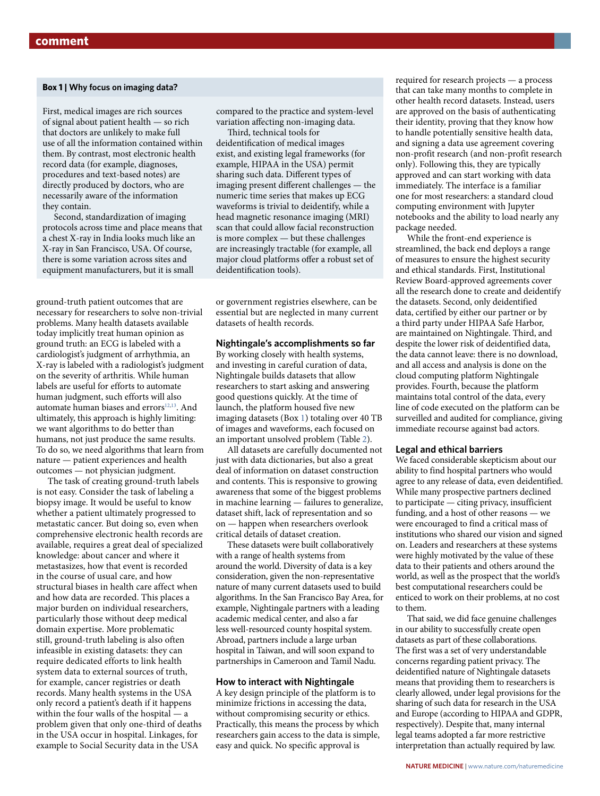# <span id="page-1-0"></span>**Box 1 | Why focus on imaging data?**

First, medical images are rich sources of signal about patient health — so rich that doctors are unlikely to make full use of all the information contained within them. By contrast, most electronic health record data (for example, diagnoses, procedures and text-based notes) are directly produced by doctors, who are necessarily aware of the information they contain.

Second, standardization of imaging protocols across time and place means that a chest X-ray in India looks much like an X-ray in San Francisco, USA. Of course, there is some variation across sites and equipment manufacturers, but it is small

ground-truth patient outcomes that are necessary for researchers to solve non-trivial problems. Many health datasets available today implicitly treat human opinion as ground truth: an ECG is labeled with a cardiologist's judgment of arrhythmia, an X-ray is labeled with a radiologist's judgment on the severity of arthritis. While human labels are useful for efforts to automate human judgment, such efforts will also automate human biases and errors<sup>12,[13](#page-2-10)</sup>. And ultimately, this approach is highly limiting: we want algorithms to do better than humans, not just produce the same results. To do so, we need algorithms that learn from nature — patient experiences and health outcomes — not physician judgment.

The task of creating ground-truth labels is not easy. Consider the task of labeling a biopsy image. It would be useful to know whether a patient ultimately progressed to metastatic cancer. But doing so, even when comprehensive electronic health records are available, requires a great deal of specialized knowledge: about cancer and where it metastasizes, how that event is recorded in the course of usual care, and how structural biases in health care affect when and how data are recorded. This places a major burden on individual researchers, particularly those without deep medical domain expertise. More problematic still, ground-truth labeling is also often infeasible in existing datasets: they can require dedicated efforts to link health system data to external sources of truth, for example, cancer registries or death records. Many health systems in the USA only record a patient's death if it happens within the four walls of the hospital — a problem given that only one-third of deaths in the USA occur in hospital. Linkages, for example to Social Security data in the USA

compared to the practice and system-level variation afecting non-imaging data.

Third, technical tools for deidentifcation of medical images exist, and existing legal frameworks (for example, HIPAA in the USA) permit sharing such data. Diferent types of imaging present diferent challenges — the numeric time series that makes up ECG waveforms is trivial to deidentify, while a head magnetic resonance imaging (MRI) scan that could allow facial reconstruction is more complex — but these challenges are increasingly tractable (for example, all major cloud platforms offer a robust set of deidentifcation tools).

or government registries elsewhere, can be essential but are neglected in many current datasets of health records.

#### **Nightingale's accomplishments so far**

By working closely with health systems, and investing in careful curation of data, Nightingale builds datasets that allow researchers to start asking and answering good questions quickly. At the time of launch, the platform housed five new imaging datasets (Box [1\)](#page-1-0) totaling over 40 TB of images and waveforms, each focused on an important unsolved problem (Table [2](#page-2-11)).

All datasets are carefully documented not just with data dictionaries, but also a great deal of information on dataset construction and contents. This is responsive to growing awareness that some of the biggest problems in machine learning — failures to generalize, dataset shift, lack of representation and so on — happen when researchers overlook critical details of dataset creation.

These datasets were built collaboratively with a range of health systems from around the world. Diversity of data is a key consideration, given the non-representative nature of many current datasets used to build algorithms. In the San Francisco Bay Area, for example, Nightingale partners with a leading academic medical center, and also a far less well-resourced county hospital system. Abroad, partners include a large urban hospital in Taiwan, and will soon expand to partnerships in Cameroon and Tamil Nadu.

#### **How to interact with Nightingale**

A key design principle of the platform is to minimize frictions in accessing the data, without compromising security or ethics. Practically, this means the process by which researchers gain access to the data is simple, easy and quick. No specific approval is

required for research projects — a process that can take many months to complete in other health record datasets. Instead, users are approved on the basis of authenticating their identity, proving that they know how to handle potentially sensitive health data, and signing a data use agreement covering non-profit research (and non-profit research only). Following this, they are typically approved and can start working with data immediately. The interface is a familiar one for most researchers: a standard cloud computing environment with Jupyter notebooks and the ability to load nearly any package needed.

While the front-end experience is streamlined, the back end deploys a range of measures to ensure the highest security and ethical standards. First, Institutional Review Board-approved agreements cover all the research done to create and deidentify the datasets. Second, only deidentified data, certified by either our partner or by a third party under HIPAA Safe Harbor, are maintained on Nightingale. Third, and despite the lower risk of deidentified data, the data cannot leave: there is no download, and all access and analysis is done on the cloud computing platform Nightingale provides. Fourth, because the platform maintains total control of the data, every line of code executed on the platform can be surveilled and audited for compliance, giving immediate recourse against bad actors.

#### **Legal and ethical barriers**

We faced considerable skepticism about our ability to find hospital partners who would agree to any release of data, even deidentified. While many prospective partners declined to participate — citing privacy, insufficient funding, and a host of other reasons — we were encouraged to find a critical mass of institutions who shared our vision and signed on. Leaders and researchers at these systems were highly motivated by the value of these data to their patients and others around the world, as well as the prospect that the world's best computational researchers could be enticed to work on their problems, at no cost to them.

That said, we did face genuine challenges in our ability to successfully create open datasets as part of these collaborations. The first was a set of very understandable concerns regarding patient privacy. The deidentified nature of Nightingale datasets means that providing them to researchers is clearly allowed, under legal provisions for the sharing of such data for research in the USA and Europe (according to HIPAA and GDPR, respectively). Despite that, many internal legal teams adopted a far more restrictive interpretation than actually required by law.